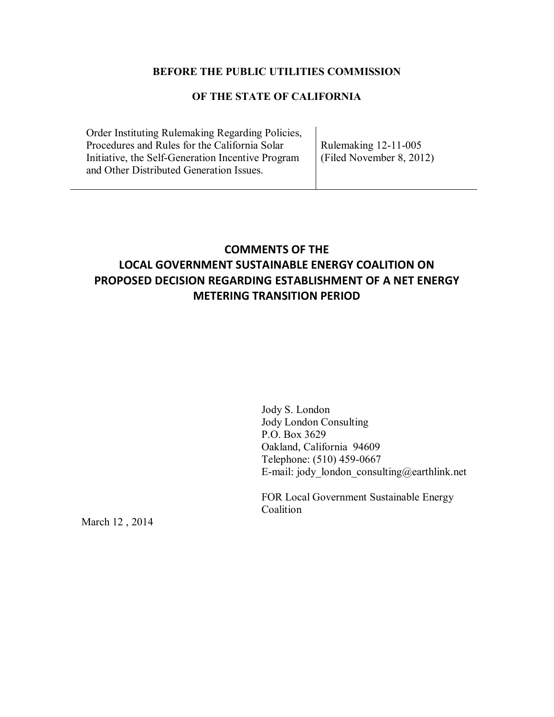## **BEFORE THE PUBLIC UTILITIES COMMISSION**

## **OF THE STATE OF CALIFORNIA**

Order Instituting Rulemaking Regarding Policies, Procedures and Rules for the California Solar Initiative, the Self-Generation Incentive Program and Other Distributed Generation Issues.

Rulemaking 12-11-005 (Filed November 8, 2012)

# **COMMENTS OF THE LOCAL GOVERNMENT SUSTAINABLE ENERGY COALITION ON PROPOSED DECISION REGARDING ESTABLISHMENT OF A NET ENERGY METERING TRANSITION PERIOD**

Jody S. London Jody London Consulting P.O. Box 3629 Oakland, California 94609 Telephone: (510) 459-0667 E-mail: jody london consulting@earthlink.net

FOR Local Government Sustainable Energy Coalition

March 12 , 2014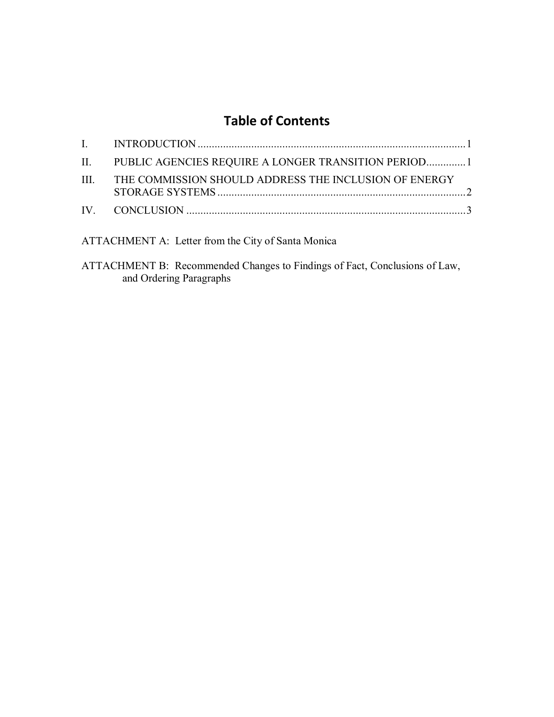# **Table of Contents**

| II. PUBLIC AGENCIES REQUIRE A LONGER TRANSITION PERIOD1    |  |
|------------------------------------------------------------|--|
| III. THE COMMISSION SHOULD ADDRESS THE INCLUSION OF ENERGY |  |
|                                                            |  |
|                                                            |  |

ATTACHMENT A: Letter from the City of Santa Monica

ATTACHMENT B: Recommended Changes to Findings of Fact, Conclusions of Law, and Ordering Paragraphs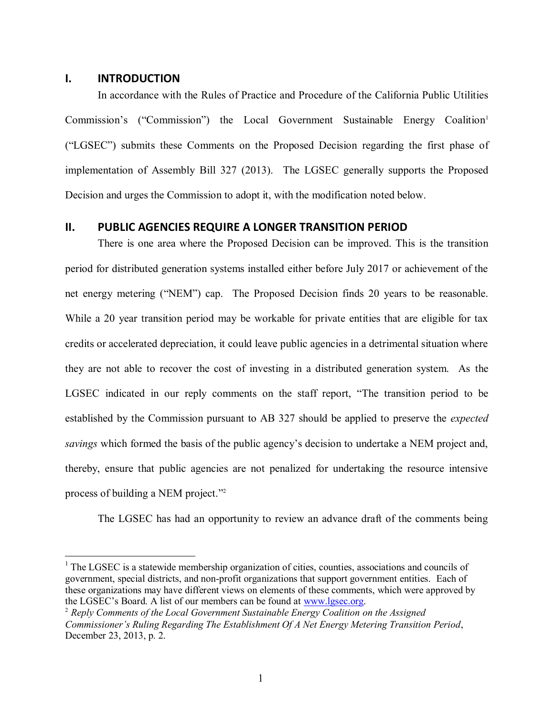#### <span id="page-2-0"></span>**I. INTRODUCTION**

 $\overline{a}$ 

In accordance with the Rules of Practice and Procedure of the California Public Utilities Commission's ("Commission") the Local Government Sustainable Energy Coalition<sup>1</sup> ("LGSEC") submits these Comments on the Proposed Decision regarding the first phase of implementation of Assembly Bill 327 (2013). The LGSEC generally supports the Proposed Decision and urges the Commission to adopt it, with the modification noted below.

## <span id="page-2-1"></span>**II. PUBLIC AGENCIES REQUIRE A LONGER TRANSITION PERIOD**

There is one area where the Proposed Decision can be improved. This is the transition period for distributed generation systems installed either before July 2017 or achievement of the net energy metering ("NEM") cap. The Proposed Decision finds 20 years to be reasonable. While a 20 year transition period may be workable for private entities that are eligible for tax credits or accelerated depreciation, it could leave public agencies in a detrimental situation where they are not able to recover the cost of investing in a distributed generation system. As the LGSEC indicated in our reply comments on the staff report, "The transition period to be established by the Commission pursuant to AB 327 should be applied to preserve the *expected savings* which formed the basis of the public agency's decision to undertake a NEM project and, thereby, ensure that public agencies are not penalized for undertaking the resource intensive process of building a NEM project." 2

The LGSEC has had an opportunity to review an advance draft of the comments being

 $1$  The LGSEC is a statewide membership organization of cities, counties, associations and councils of government, special districts, and non-profit organizations that support government entities. Each of these organizations may have different views on elements of these comments, which were approved by the LGSEC's Board. A list of our members can be found at [www.lgsec.org.](http://www.lgsec.org/)

<sup>2</sup> *Reply Comments of the Local Government Sustainable Energy Coalition on the Assigned Commissioner's Ruling Regarding The Establishment Of A Net Energy Metering Transition Period*, December 23, 2013, p. 2.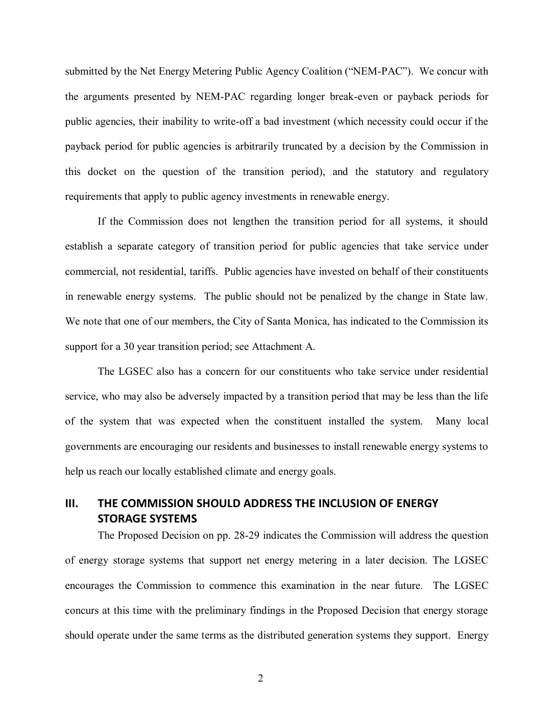submitted by the Net Energy Metering Public Agency Coalition ("NEM-PAC"). We concur with the arguments presented by NEM-PAC regarding longer break-even or payback periods for public agencies, their inability to write-off a bad investment (which necessity could occur if the payback period for public agencies is arbitrarily truncated by a decision by the Commission in this docket on the question of the transition period), and the statutory and regulatory requirements that apply to public agency investments in renewable energy.

If the Commission does not lengthen the transition period for all systems, it should establish a separate category of transition period for public agencies that take service under commercial, not residential, tariffs. Public agencies have invested on behalf of their constituents in renewable energy systems. The public should not be penalized by the change in State law. We note that one of our members, the City of Santa Monica, has indicated to the Commission its support for a 30 year transition period; see Attachment A.

The LGSEC also has a concern for our constituents who take service under residential service, who may also be adversely impacted by a transition period that may be less than the life of the system that was expected when the constituent installed the system. Many local governments are encouraging our residents and businesses to install renewable energy systems to help us reach our locally established climate and energy goals.

## <span id="page-3-0"></span>**III. THE COMMISSION SHOULD ADDRESS THE INCLUSION OF ENERGY STORAGE SYSTEMS**

The Proposed Decision on pp. 28-29 indicates the Commission will address the question of energy storage systems that support net energy metering in a later decision. The LGSEC encourages the Commission to commence this examination in the near future. The LGSEC concurs at this time with the preliminary findings in the Proposed Decision that energy storage should operate under the same terms as the distributed generation systems they support. Energy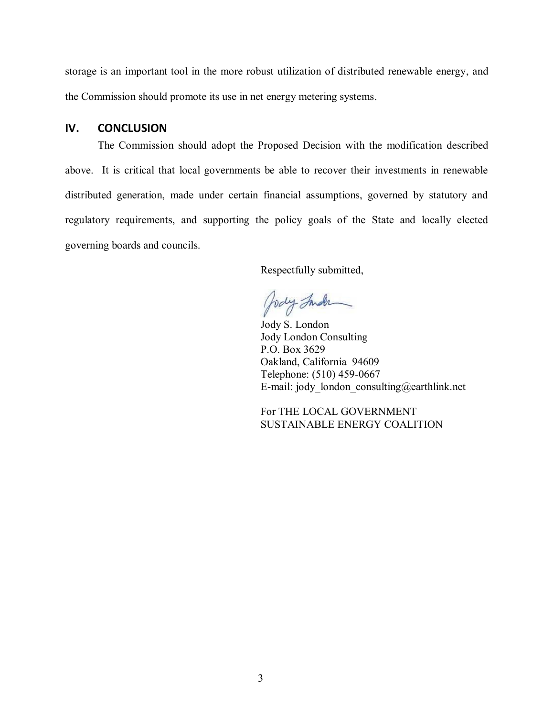storage is an important tool in the more robust utilization of distributed renewable energy, and the Commission should promote its use in net energy metering systems.

## <span id="page-4-0"></span>**IV. CONCLUSION**

The Commission should adopt the Proposed Decision with the modification described above. It is critical that local governments be able to recover their investments in renewable distributed generation, made under certain financial assumptions, governed by statutory and regulatory requirements, and supporting the policy goals of the State and locally elected governing boards and councils.

Respectfully submitted,

Jody Inder

Jody S. London Jody London Consulting P.O. Box 3629 Oakland, California 94609 Telephone: (510) 459-0667 E-mail: jody\_london\_consulting@earthlink.net

For THE LOCAL GOVERNMENT SUSTAINABLE ENERGY COALITION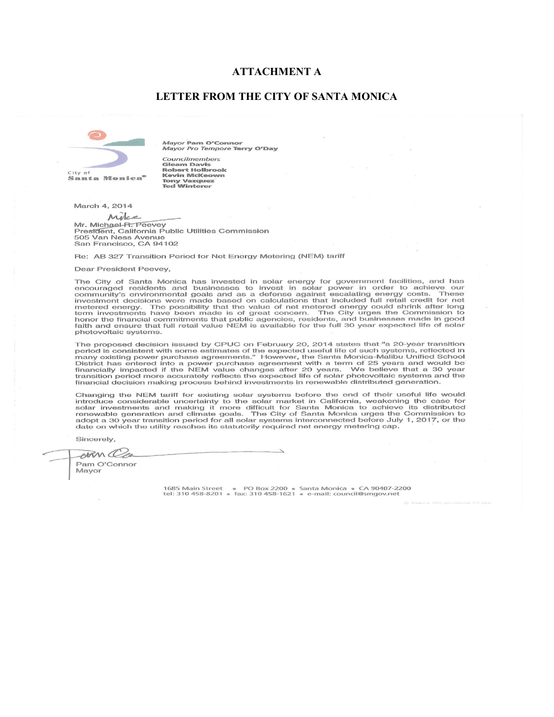#### **ATTACHMENT A**

#### **LETTER FROM THE CITY OF SANTA MONICA**



Mayor Pam O'Connor Mayor Pro Tempore Terry O'Day

Councilmembers Councimiembers<br>Gleam Davis<br>Robert Holbrook<br>Kevin McKeown **Tony Vazquez<br>Ted Winterer** 

March 4, 2014

Milce

Mr. Michael R. Peevey nn: micrige-ra.<br>President, California Public Utilities Commission<br>505 Van Ness Avenue San Francisco, CA 94102

Re: AB 327 Transition Period for Net Energy Metering (NEM) tariff

Dear President Peevey.

The City of Santa Monica has invested in solar energy for government facilities, and has encouraged residents and businesses to invest in solar power in order to achieve our community's environmental goals and as a defense photovoltaic systems.

The proposed decision issued by CPUC on February 20, 2014 states that "a 20-year transition period is consistent with some estimates of the expected useful life of such systems, reflected in<br>many existing power purchase agreements." However, the Santa Monica-Malibu Unified School District has entered into a power purchase agreement with a term of 25 years and would be<br>financially impacted if the NEM value changes after 20 years. We believe that a 30 year<br>transition period more accurately reflects t financial decision making process behind investments in renewable distributed generation.

Changing the NEM tariff for existing solar systems before the end of their useful life would introduce considerable uncertainty to the solar market in California, weakening the case for solar investments and making it more difficult for Santa Monica to achieve its distributed renewable generation and climate goals adopt a 30 year transition period for all solar systems interconnected before July 1, 2017, or the date on which the utility reaches its statutorily required net energy metering cap.

Sincerely,

EAM CC

Pam O'Connor Mayor

> 1685 Main Street • PO Box 2200 • Santa Monica • CA 90407-2:<br>tel: 310 458-8201 • fax: 310 458-1621 • e-mail: council@smgov.net CA 90407-2200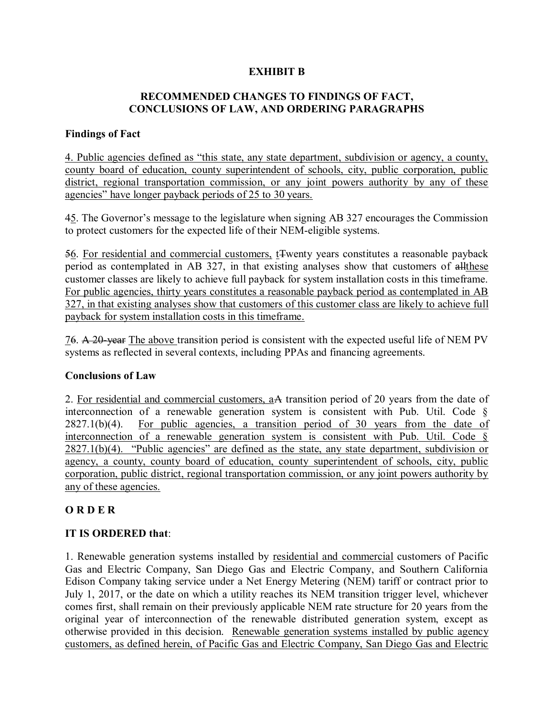## **EXHIBIT B**

## **RECOMMENDED CHANGES TO FINDINGS OF FACT, CONCLUSIONS OF LAW, AND ORDERING PARAGRAPHS**

## **Findings of Fact**

4. Public agencies defined as "this state, any state department, subdivision or agency, a county, county board of education, county superintendent of schools, city, public corporation, public district, regional transportation commission, or any joint powers authority by any of these agencies" have longer payback periods of 25 to 30 years.

45. The Governor's message to the legislature when signing AB 327 encourages the Commission to protect customers for the expected life of their NEM-eligible systems.

56. For residential and commercial customers, tTwenty years constitutes a reasonable payback period as contemplated in AB 327, in that existing analyses show that customers of allthese customer classes are likely to achieve full payback for system installation costs in this timeframe. For public agencies, thirty years constitutes a reasonable payback period as contemplated in AB 327, in that existing analyses show that customers of this customer class are likely to achieve full payback for system installation costs in this timeframe.

76. A 20-year The above transition period is consistent with the expected useful life of NEM PV systems as reflected in several contexts, including PPAs and financing agreements.

### **Conclusions of Law**

2. For residential and commercial customers, aA transition period of 20 years from the date of interconnection of a renewable generation system is consistent with Pub. Util. Code § 2827.1(b)(4). For public agencies, a transition period of 30 years from the date of interconnection of a renewable generation system is consistent with Pub. Util. Code §  $2827.1(b)(4)$ . "Public agencies" are defined as the state, any state department, subdivision or agency, a county, county board of education, county superintendent of schools, city, public corporation, public district, regional transportation commission, or any joint powers authority by any of these agencies.

## **O R D E R**

## **IT IS ORDERED that**:

1. Renewable generation systems installed by residential and commercial customers of Pacific Gas and Electric Company, San Diego Gas and Electric Company, and Southern California Edison Company taking service under a Net Energy Metering (NEM) tariff or contract prior to July 1, 2017, or the date on which a utility reaches its NEM transition trigger level, whichever comes first, shall remain on their previously applicable NEM rate structure for 20 years from the original year of interconnection of the renewable distributed generation system, except as otherwise provided in this decision. Renewable generation systems installed by public agency customers, as defined herein, of Pacific Gas and Electric Company, San Diego Gas and Electric